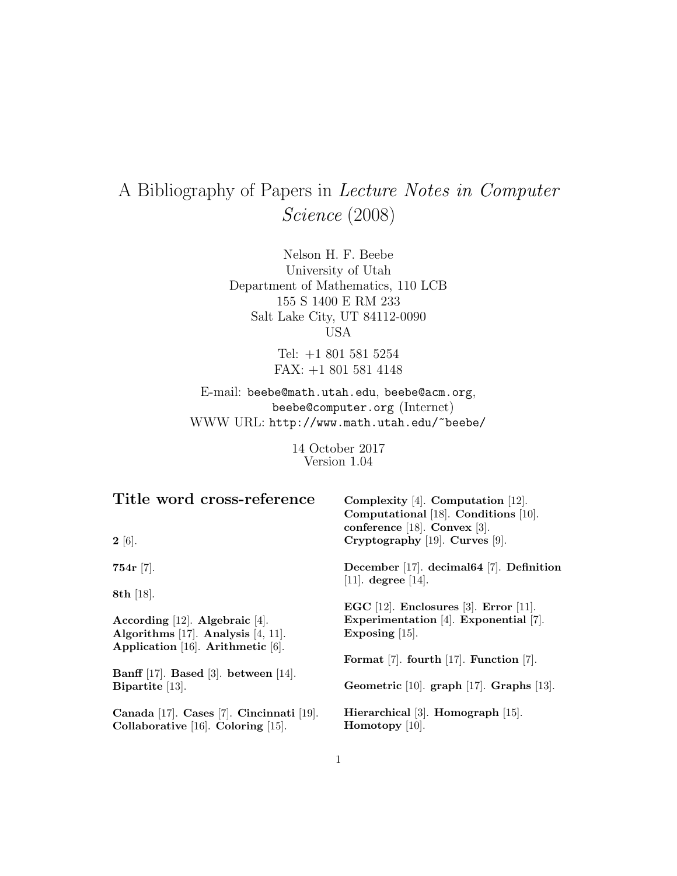# A Bibliography of Papers in Lecture Notes in Computer Science (2008)

Nelson H. F. Beebe University of Utah Department of Mathematics, 110 LCB 155 S 1400 E RM 233 Salt Lake City, UT 84112-0090 USA

> Tel: +1 801 581 5254 FAX: +1 801 581 4148

E-mail: beebe@math.utah.edu, beebe@acm.org, beebe@computer.org (Internet) WWW URL: http://www.math.utah.edu/~beebe/

> 14 October 2017 Version 1.04

| Title word cross-reference                                                           | Complexity $[4]$ . Computation $[12]$ .<br>Computational [18]. Conditions [10].<br>conference $[18]$ . Convex $[3]$ . |
|--------------------------------------------------------------------------------------|-----------------------------------------------------------------------------------------------------------------------|
| $2 \; [6]$ .                                                                         | Cryptography [19]. Curves [9].                                                                                        |
| $754r$ [7].                                                                          | December [17]. decimal $64$ [7]. Definition<br>[11]. degree [14].                                                     |
| 8th $[18]$ .                                                                         | EGC $[12]$ . Enclosures $[3]$ . Error $[11]$ .                                                                        |
| According $[12]$ . Algebraic $[4]$ .                                                 | Experimentation [4]. Exponential [7].                                                                                 |
| Algorithms $[17]$ . Analysis $[4, 11]$ .<br>Application $[16]$ . Arithmetic $[6]$ .  | Exposing $ 15 $ .                                                                                                     |
|                                                                                      | Format $[7]$ . fourth $[17]$ . Function $[7]$ .                                                                       |
| Banff $[17]$ . Based $[3]$ . between $[14]$ .                                        |                                                                                                                       |
| Bipartite $[13]$ .                                                                   | Geometric $[10]$ . graph $[17]$ . Graphs $[13]$ .                                                                     |
| Canada [17]. Cases [7]. Cincinnati [19].<br>Collaborative $[16]$ . Coloring $[15]$ . | Hierarchical [3]. Homograph [15].<br>Homotopy $[10]$ .                                                                |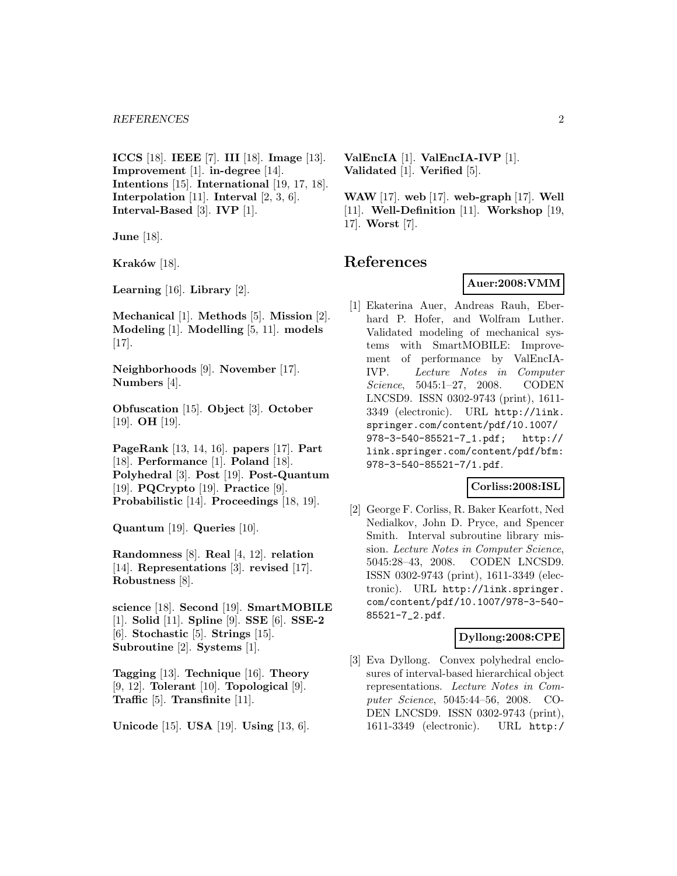**ICCS** [18]. **IEEE** [7]. **III** [18]. **Image** [13]. **Improvement** [1]. **in-degree** [14]. **Intentions** [15]. **International** [19, 17, 18]. **Interpolation** [11]. **Interval** [2, 3, 6]. **Interval-Based** [3]. **IVP** [1].

**June** [18].

**Kraków** [18].

**Learning** [16]. **Library** [2].

**Mechanical** [1]. **Methods** [5]. **Mission** [2]. **Modeling** [1]. **Modelling** [5, 11]. **models** [17].

**Neighborhoods** [9]. **November** [17]. **Numbers** [4].

**Obfuscation** [15]. **Object** [3]. **October** [19]. **OH** [19].

**PageRank** [13, 14, 16]. **papers** [17]. **Part** [18]. **Performance** [1]. **Poland** [18]. **Polyhedral** [3]. **Post** [19]. **Post-Quantum** [19]. **PQCrypto** [19]. **Practice** [9]. **Probabilistic** [14]. **Proceedings** [18, 19].

**Quantum** [19]. **Queries** [10].

**Randomness** [8]. **Real** [4, 12]. **relation** [14]. **Representations** [3]. **revised** [17]. **Robustness** [8].

**science** [18]. **Second** [19]. **SmartMOBILE** [1]. **Solid** [11]. **Spline** [9]. **SSE** [6]. **SSE-2** [6]. **Stochastic** [5]. **Strings** [15]. **Subroutine** [2]. **Systems** [1].

**Tagging** [13]. **Technique** [16]. **Theory** [9, 12]. **Tolerant** [10]. **Topological** [9]. **Traffic** [5]. **Transfinite** [11].

**Unicode** [15]. **USA** [19]. **Using** [13, 6].

**ValEncIA** [1]. **ValEncIA-IVP** [1]. **Validated** [1]. **Verified** [5].

**WAW** [17]. **web** [17]. **web-graph** [17]. **Well** [11]. **Well-Definition** [11]. **Workshop** [19, 17]. **Worst** [7].

## **References**

#### **Auer:2008:VMM**

[1] Ekaterina Auer, Andreas Rauh, Eberhard P. Hofer, and Wolfram Luther. Validated modeling of mechanical systems with SmartMOBILE: Improvement of performance by ValEncIA-IVP. Lecture Notes in Computer Science, 5045:1–27, 2008. CODEN LNCSD9. ISSN 0302-9743 (print), 1611- 3349 (electronic). URL http://link. springer.com/content/pdf/10.1007/ 978-3-540-85521-7\_1.pdf; http:// link.springer.com/content/pdf/bfm: 978-3-540-85521-7/1.pdf.

#### **Corliss:2008:ISL**

[2] George F. Corliss, R. Baker Kearfott, Ned Nedialkov, John D. Pryce, and Spencer Smith. Interval subroutine library mission. Lecture Notes in Computer Science, 5045:28–43, 2008. CODEN LNCSD9. ISSN 0302-9743 (print), 1611-3349 (electronic). URL http://link.springer. com/content/pdf/10.1007/978-3-540- 85521-7\_2.pdf.

## **Dyllong:2008:CPE**

[3] Eva Dyllong. Convex polyhedral enclosures of interval-based hierarchical object representations. Lecture Notes in Computer Science, 5045:44–56, 2008. CO-DEN LNCSD9. ISSN 0302-9743 (print), 1611-3349 (electronic). URL http:/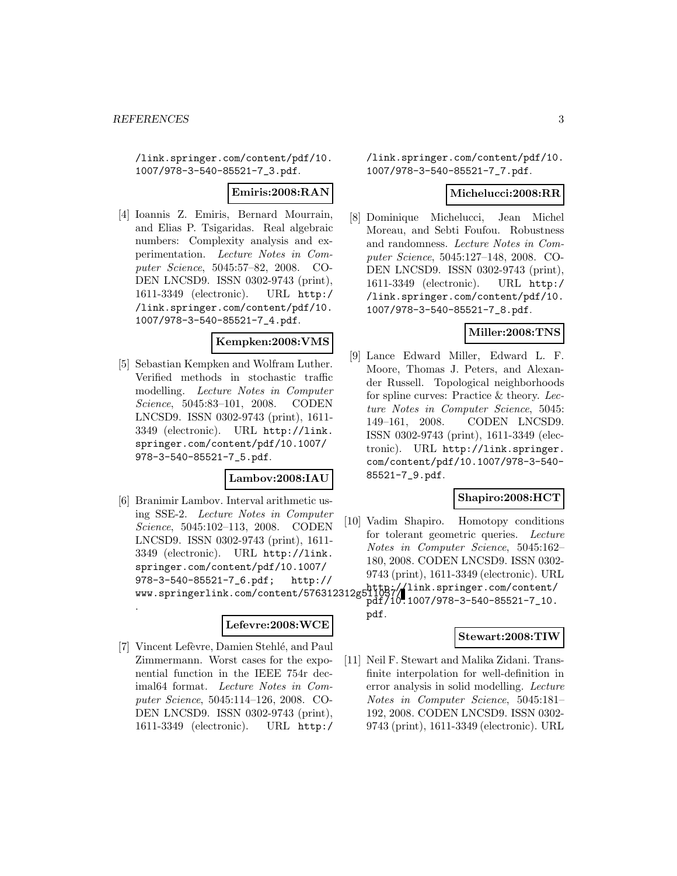/link.springer.com/content/pdf/10. 1007/978-3-540-85521-7\_3.pdf.

#### **Emiris:2008:RAN**

[4] Ioannis Z. Emiris, Bernard Mourrain, and Elias P. Tsigaridas. Real algebraic numbers: Complexity analysis and experimentation. Lecture Notes in Computer Science, 5045:57–82, 2008. CO-DEN LNCSD9. ISSN 0302-9743 (print), 1611-3349 (electronic). URL http:/ /link.springer.com/content/pdf/10. 1007/978-3-540-85521-7\_4.pdf.

#### **Kempken:2008:VMS**

[5] Sebastian Kempken and Wolfram Luther. Verified methods in stochastic traffic modelling. Lecture Notes in Computer Science, 5045:83–101, 2008. CODEN LNCSD9. ISSN 0302-9743 (print), 1611- 3349 (electronic). URL http://link. springer.com/content/pdf/10.1007/ 978-3-540-85521-7\_5.pdf.

#### **Lambov:2008:IAU**

[6] Branimir Lambov. Interval arithmetic using SSE-2. Lecture Notes in Computer Science, 5045:102–113, 2008. CODEN LNCSD9. ISSN 0302-9743 (print), 1611- 3349 (electronic). URL http://link. springer.com/content/pdf/10.1007/ 978-3-540-85521-7\_6.pdf; http:// www.springerlink.com/content/576312312g511037/

.

## **Lefevre:2008:WCE**

[7] Vincent Lefèvre, Damien Stehlé, and Paul Zimmermann. Worst cases for the exponential function in the IEEE 754r decimal64 format. Lecture Notes in Computer Science, 5045:114–126, 2008. CO-DEN LNCSD9. ISSN 0302-9743 (print), 1611-3349 (electronic). URL http:/

/link.springer.com/content/pdf/10. 1007/978-3-540-85521-7\_7.pdf.

#### **Michelucci:2008:RR**

[8] Dominique Michelucci, Jean Michel Moreau, and Sebti Foufou. Robustness and randomness. Lecture Notes in Computer Science, 5045:127–148, 2008. CO-DEN LNCSD9. ISSN 0302-9743 (print), 1611-3349 (electronic). URL http:/ /link.springer.com/content/pdf/10. 1007/978-3-540-85521-7\_8.pdf.

#### **Miller:2008:TNS**

[9] Lance Edward Miller, Edward L. F. Moore, Thomas J. Peters, and Alexander Russell. Topological neighborhoods for spline curves: Practice & theory. Lecture Notes in Computer Science, 5045: 149–161, 2008. CODEN LNCSD9. ISSN 0302-9743 (print), 1611-3349 (electronic). URL http://link.springer. com/content/pdf/10.1007/978-3-540- 85521-7\_9.pdf.

#### **Shapiro:2008:HCT**

- [10] Vadim Shapiro. Homotopy conditions for tolerant geometric queries. Lecture Notes in Computer Science, 5045:162– 180, 2008. CODEN LNCSD9. ISSN 0302- 9743 (print), 1611-3349 (electronic). URL http://link.springer.com/content/
	- pdf/10.1007/978-3-540-85521-7\_10. pdf.

#### **Stewart:2008:TIW**

[11] Neil F. Stewart and Malika Zidani. Transfinite interpolation for well-definition in error analysis in solid modelling. Lecture Notes in Computer Science, 5045:181– 192, 2008. CODEN LNCSD9. ISSN 0302- 9743 (print), 1611-3349 (electronic). URL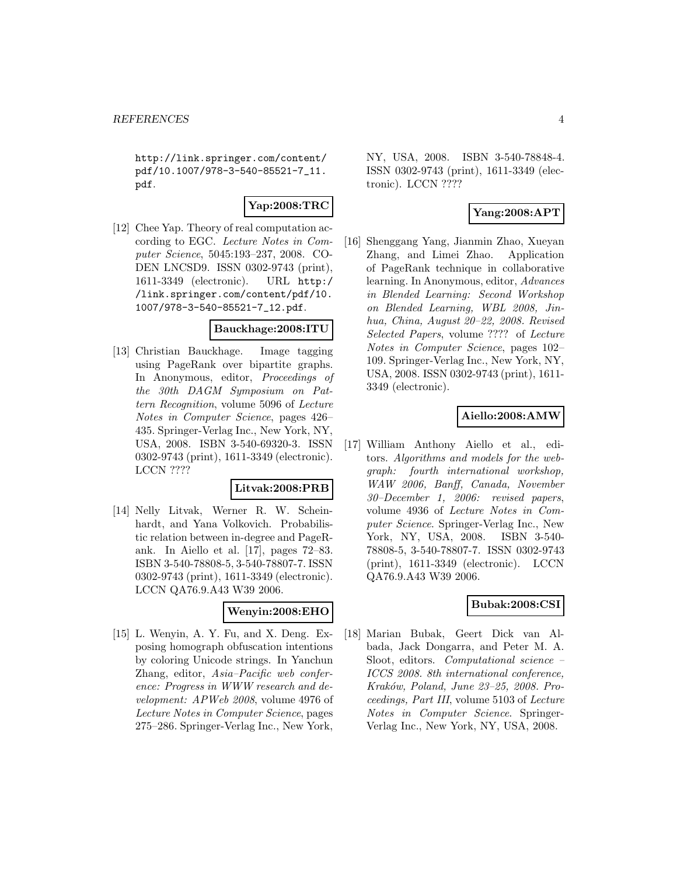http://link.springer.com/content/ pdf/10.1007/978-3-540-85521-7\_11. pdf.

## **Yap:2008:TRC**

[12] Chee Yap. Theory of real computation according to EGC. Lecture Notes in Computer Science, 5045:193–237, 2008. CO-DEN LNCSD9. ISSN 0302-9743 (print), 1611-3349 (electronic). URL http:/ /link.springer.com/content/pdf/10. 1007/978-3-540-85521-7\_12.pdf.

#### **Bauckhage:2008:ITU**

[13] Christian Bauckhage. Image tagging using PageRank over bipartite graphs. In Anonymous, editor, Proceedings of the 30th DAGM Symposium on Pattern Recognition, volume 5096 of Lecture Notes in Computer Science, pages 426– 435. Springer-Verlag Inc., New York, NY, USA, 2008. ISBN 3-540-69320-3. ISSN 0302-9743 (print), 1611-3349 (electronic). LCCN ????

#### **Litvak:2008:PRB**

[14] Nelly Litvak, Werner R. W. Scheinhardt, and Yana Volkovich. Probabilistic relation between in-degree and PageRank. In Aiello et al. [17], pages 72–83. ISBN 3-540-78808-5, 3-540-78807-7. ISSN 0302-9743 (print), 1611-3349 (electronic). LCCN QA76.9.A43 W39 2006.

## **Wenyin:2008:EHO**

[15] L. Wenyin, A. Y. Fu, and X. Deng. Exposing homograph obfuscation intentions by coloring Unicode strings. In Yanchun Zhang, editor, Asia–Pacific web conference: Progress in WWW research and development: APWeb 2008, volume 4976 of Lecture Notes in Computer Science, pages 275–286. Springer-Verlag Inc., New York,

NY, USA, 2008. ISBN 3-540-78848-4. ISSN 0302-9743 (print), 1611-3349 (electronic). LCCN ????

## **Yang:2008:APT**

[16] Shenggang Yang, Jianmin Zhao, Xueyan Zhang, and Limei Zhao. Application of PageRank technique in collaborative learning. In Anonymous, editor, Advances in Blended Learning: Second Workshop on Blended Learning, WBL 2008, Jinhua, China, August 20–22, 2008. Revised Selected Papers, volume ???? of Lecture Notes in Computer Science, pages 102– 109. Springer-Verlag Inc., New York, NY, USA, 2008. ISSN 0302-9743 (print), 1611- 3349 (electronic).

## **Aiello:2008:AMW**

[17] William Anthony Aiello et al., editors. Algorithms and models for the webgraph: fourth international workshop, WAW 2006, Banff, Canada, November 30–December 1, 2006: revised papers, volume 4936 of Lecture Notes in Computer Science. Springer-Verlag Inc., New York, NY, USA, 2008. ISBN 3-540- 78808-5, 3-540-78807-7. ISSN 0302-9743 (print), 1611-3349 (electronic). LCCN QA76.9.A43 W39 2006.

#### **Bubak:2008:CSI**

[18] Marian Bubak, Geert Dick van Albada, Jack Dongarra, and Peter M. A. Sloot, editors. Computational science – ICCS 2008. 8th international conference, Kraków, Poland, June 23-25, 2008. Proceedings, Part III, volume 5103 of Lecture Notes in Computer Science. Springer-Verlag Inc., New York, NY, USA, 2008.